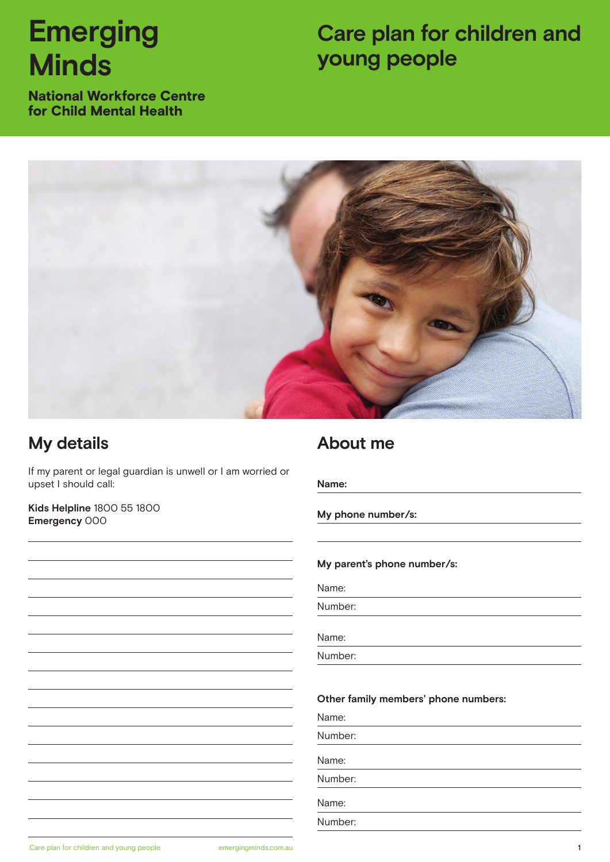# **Emerging Minds**

## **Care plan for children and young people**

National Workforce Centre for Child Mental Health



### **My details**

If my parent or legal guardian is unwell or I am worried or upset I should call:

**Kids Helpline** 1800 55 1800 **Emergency** 000

### **About me**

**Name:** 

**My phone number/s:**

#### **My parent's phone number/s:**

Number:

Name:

Number:

#### **Other family members' phone numbers:**

Name:

Number:

Name:

Number:

Name:

Number: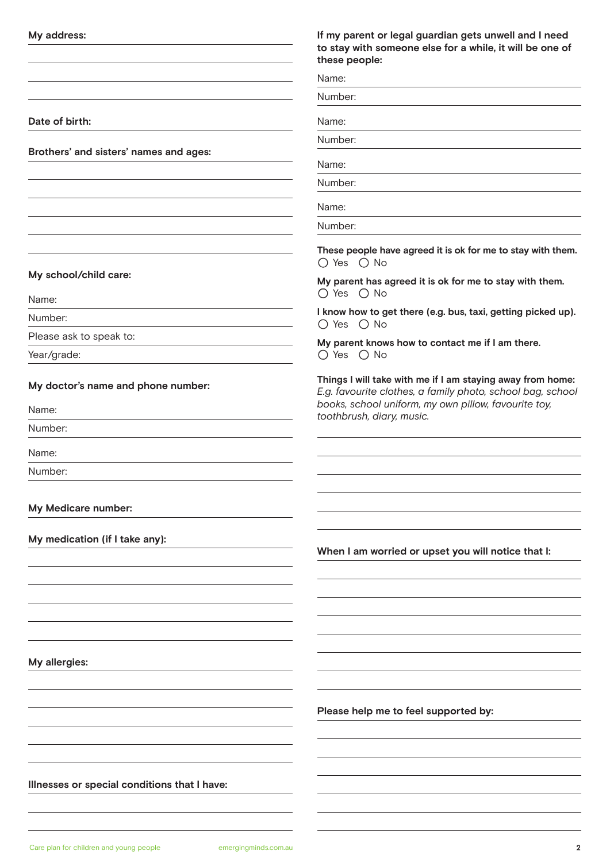| My address:                                  | If my parent or legal guardian gets unwell and I need<br>to stay with someone else for a while, it will be one of<br>these people:                                               |
|----------------------------------------------|----------------------------------------------------------------------------------------------------------------------------------------------------------------------------------|
|                                              | Name:                                                                                                                                                                            |
|                                              | Number:                                                                                                                                                                          |
| Date of birth:                               | Name:                                                                                                                                                                            |
|                                              | Number:                                                                                                                                                                          |
| Brothers' and sisters' names and ages:       | Name:                                                                                                                                                                            |
|                                              | Number:                                                                                                                                                                          |
|                                              | Name:                                                                                                                                                                            |
|                                              | Number:                                                                                                                                                                          |
|                                              | These people have agreed it is ok for me to stay with them.<br>O Yes O No                                                                                                        |
| My school/child care:                        | My parent has agreed it is ok for me to stay with them.                                                                                                                          |
| Name:                                        | O Yes O No                                                                                                                                                                       |
| Number:                                      | I know how to get there (e.g. bus, taxi, getting picked up).<br>O Yes O No                                                                                                       |
| Please ask to speak to:                      | My parent knows how to contact me if I am there.                                                                                                                                 |
| Year/grade:                                  | O Yes O No                                                                                                                                                                       |
| My doctor's name and phone number:           | Things I will take with me if I am staying away from home:<br>E.g. favourite clothes, a family photo, school bag, school<br>books, school uniform, my own pillow, favourite toy, |
| Name:                                        | toothbrush, diary, music.                                                                                                                                                        |
| Number:                                      |                                                                                                                                                                                  |
| Name:                                        |                                                                                                                                                                                  |
| Number:                                      |                                                                                                                                                                                  |
|                                              |                                                                                                                                                                                  |
| My Medicare number:                          |                                                                                                                                                                                  |
| My medication (if I take any):               | When I am worried or upset you will notice that I:                                                                                                                               |
|                                              |                                                                                                                                                                                  |
|                                              |                                                                                                                                                                                  |
|                                              |                                                                                                                                                                                  |
|                                              |                                                                                                                                                                                  |
|                                              |                                                                                                                                                                                  |
| My allergies:                                |                                                                                                                                                                                  |
|                                              |                                                                                                                                                                                  |
|                                              | Please help me to feel supported by:                                                                                                                                             |
|                                              |                                                                                                                                                                                  |
|                                              |                                                                                                                                                                                  |
|                                              |                                                                                                                                                                                  |
| Illnesses or special conditions that I have: |                                                                                                                                                                                  |
|                                              |                                                                                                                                                                                  |
|                                              |                                                                                                                                                                                  |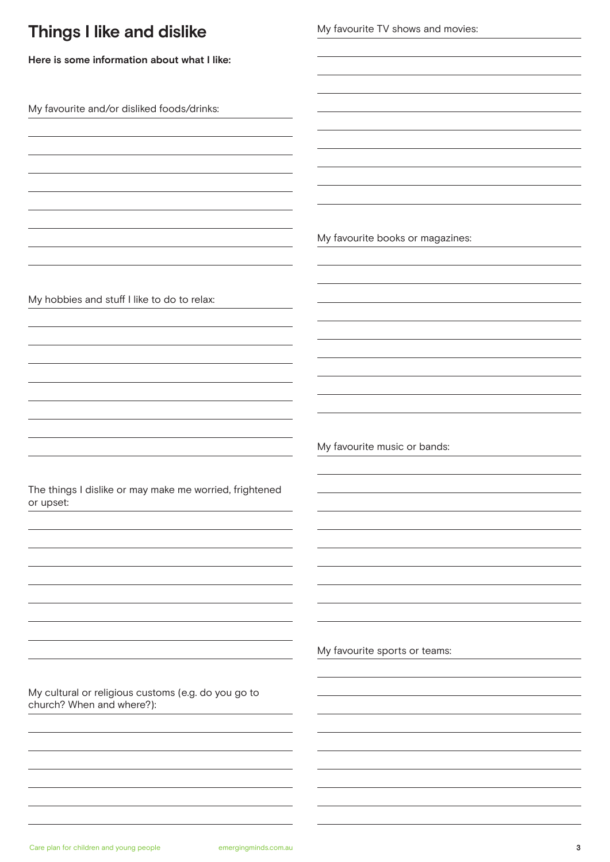| <b>Things I like and dislike</b>                                                 | My favourite TV shows and movies: |
|----------------------------------------------------------------------------------|-----------------------------------|
| Here is some information about what I like:                                      |                                   |
| My favourite and/or disliked foods/drinks:                                       |                                   |
|                                                                                  |                                   |
|                                                                                  | My favourite books or magazines:  |
| My hobbies and stuff I like to do to relax:                                      |                                   |
|                                                                                  |                                   |
|                                                                                  |                                   |
|                                                                                  | My favourite music or bands:      |
| The things I dislike or may make me worried, frightened<br>or upset:             |                                   |
|                                                                                  |                                   |
|                                                                                  |                                   |
|                                                                                  | My favourite sports or teams:     |
| My cultural or religious customs (e.g. do you go to<br>church? When and where?): |                                   |
|                                                                                  |                                   |
|                                                                                  |                                   |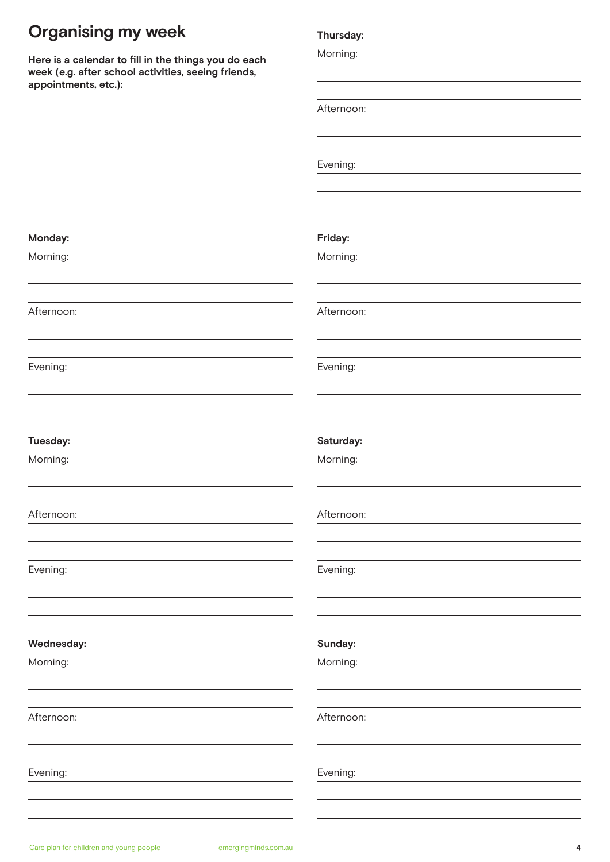### **Organising my week**

**Here is a calendar to fill in the things you do each week (e.g. after school activities, seeing friends, appointments, etc.):**

#### **Thursday:**

| Afternoon:<br>Evening:<br>Friday:<br>Morning:<br>Afternoon:<br>Evening:<br>Saturday:<br>Morning:<br>Afternoon:<br>Evening:<br>Sunday:<br>Morning:<br>Afternoon: |  |
|-----------------------------------------------------------------------------------------------------------------------------------------------------------------|--|
|                                                                                                                                                                 |  |
|                                                                                                                                                                 |  |
|                                                                                                                                                                 |  |
|                                                                                                                                                                 |  |
|                                                                                                                                                                 |  |
|                                                                                                                                                                 |  |
|                                                                                                                                                                 |  |
|                                                                                                                                                                 |  |
|                                                                                                                                                                 |  |
|                                                                                                                                                                 |  |
|                                                                                                                                                                 |  |
|                                                                                                                                                                 |  |
|                                                                                                                                                                 |  |
|                                                                                                                                                                 |  |
|                                                                                                                                                                 |  |
|                                                                                                                                                                 |  |
|                                                                                                                                                                 |  |
|                                                                                                                                                                 |  |
|                                                                                                                                                                 |  |
|                                                                                                                                                                 |  |
|                                                                                                                                                                 |  |
|                                                                                                                                                                 |  |
|                                                                                                                                                                 |  |
|                                                                                                                                                                 |  |
|                                                                                                                                                                 |  |
|                                                                                                                                                                 |  |
|                                                                                                                                                                 |  |
|                                                                                                                                                                 |  |
|                                                                                                                                                                 |  |
|                                                                                                                                                                 |  |
|                                                                                                                                                                 |  |
|                                                                                                                                                                 |  |
|                                                                                                                                                                 |  |
|                                                                                                                                                                 |  |
|                                                                                                                                                                 |  |

Morning:

**Monday:** Morning:

Afternoon:

Evening:

**Tuesday:** Morning:

Afternoon:

Evening:

Afternoon:

**Wednesday:**

Evening: